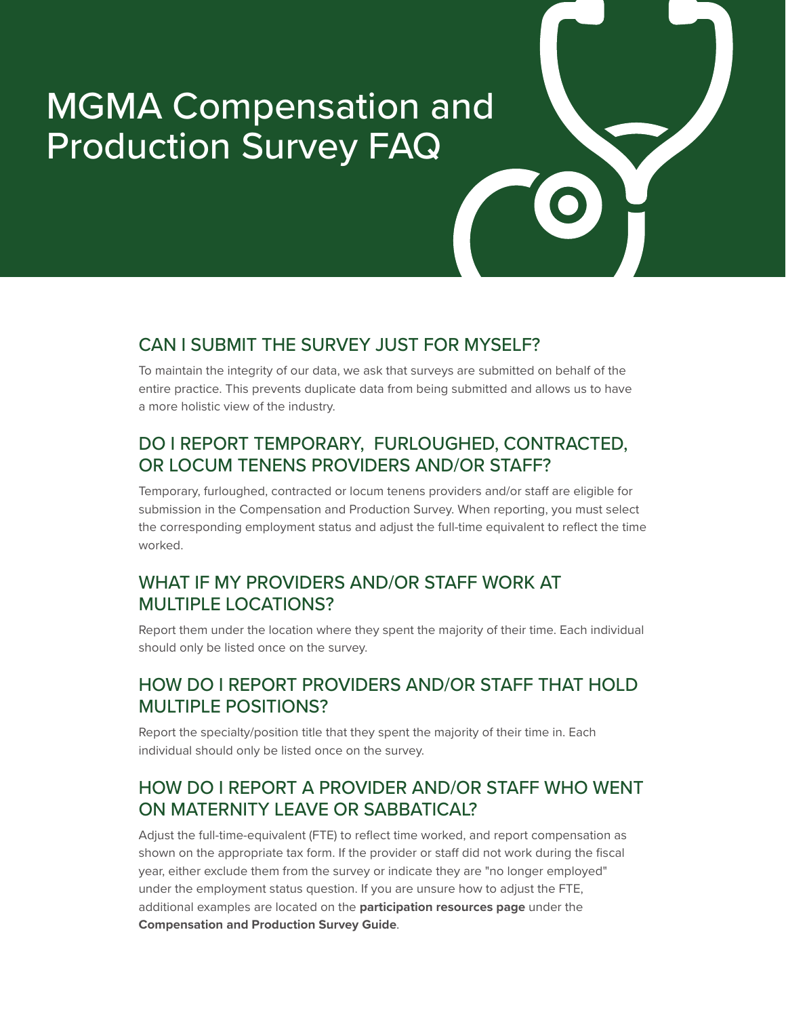# MGMA Compensation and Production Survey FAQ

## CAN I SUBMIT THE SURVEY JUST FOR MYSELF?

To maintain the integrity of our data, we ask that surveys are submitted on behalf of the entire practice. This prevents duplicate data from being submitted and allows us to have a more holistic view of the industry.

#### DO I REPORT TEMPORARY, FURLOUGHED, CONTRACTED, OR LOCUM TENENS PROVIDERS AND/OR STAFF?

Temporary, furloughed, contracted or locum tenens providers and/or staff are eligible for submission in the Compensation and Production Survey. When reporting, you must select the corresponding employment status and adjust the full-time equivalent to reflect the time worked.

#### WHAT IF MY PROVIDERS AND/OR STAFF WORK AT MULTIPLE LOCATIONS?

Report them under the location where they spent the majority of their time. Each individual should only be listed once on the survey.

# HOW DO I REPORT PROVIDERS AND/OR STAFF THAT HOLD MULTIPLE POSITIONS?

Report the specialty/position title that they spent the majority of their time in. Each individual should only be listed once on the survey.

## HOW DO I REPORT A PROVIDER AND/OR STAFF WHO WENT ON MATERNITY LEAVE OR SABBATICAL?

Adjust the full-time-equivalent (FTE) to reflect time worked, and report compensation as shown on the appropriate tax form. If the provider or staff did not work during the fiscal year, either exclude them from the survey or indicate they are "no longer employed" under the employment status question. If you are unsure how to adjust the FTE, additional examples are located on the **[participation resources page](https://mgma.com/participate)** under the **[Compensation and Production Survey Guide](https://www.mgma.com/getmedia/b9e81ec9-c727-4ea3-ac3f-2d71d0cf65b4/FINAL_2111-D18317F-2022-Comp-Production_GUIDE-MA_v3.pdf.aspx)**.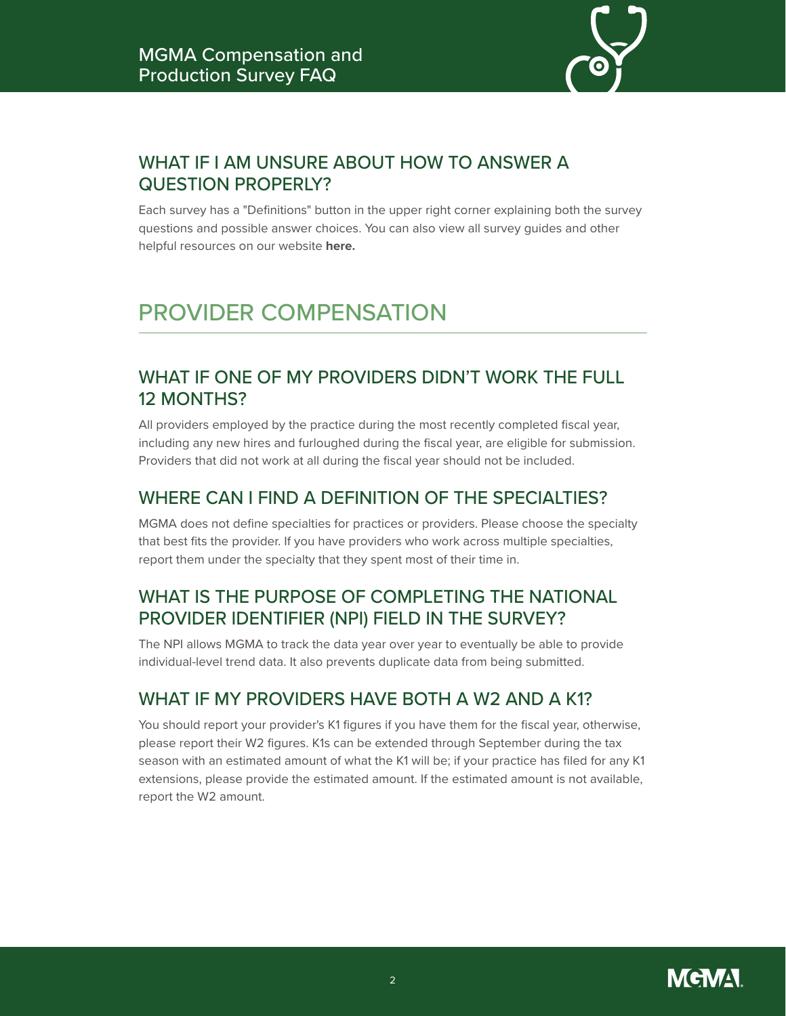

# WHAT IF I AM UNSURE ABOUT HOW TO ANSWER A QUESTION PROPERLY?

Each survey has a "Definitions" button in the upper right corner explaining both the survey questions and possible answer choices. You can also view all survey guides and other helpful resources on our website **[here.](https://mgma.com/participate)**

# PROVIDER COMPENSATION

## WHAT IF ONE OF MY PROVIDERS DIDN'T WORK THE FULL 12 MONTHS?

All providers employed by the practice during the most recently completed fiscal year, including any new hires and furloughed during the fiscal year, are eligible for submission. Providers that did not work at all during the fiscal year should not be included.

#### WHERE CAN LEIND A DEFINITION OF THE SPECIALTIES?

MGMA does not define specialties for practices or providers. Please choose the specialty that best fits the provider. If you have providers who work across multiple specialties, report them under the specialty that they spent most of their time in.

# WHAT IS THE PURPOSE OF COMPLETING THE NATIONAL PROVIDER IDENTIFIER (NPI) FIELD IN THE SURVEY?

The NPI allows MGMA to track the data year over year to eventually be able to provide individual-level trend data. It also prevents duplicate data from being submitted.

#### WHAT IF MY PROVIDERS HAVE BOTH A W2 AND A K1?

You should report your provider's K1 figures if you have them for the fiscal year, otherwise, please report their W2 figures. K1s can be extended through September during the tax season with an estimated amount of what the K1 will be; if your practice has filed for any K1 extensions, please provide the estimated amount. If the estimated amount is not available, report the W2 amount.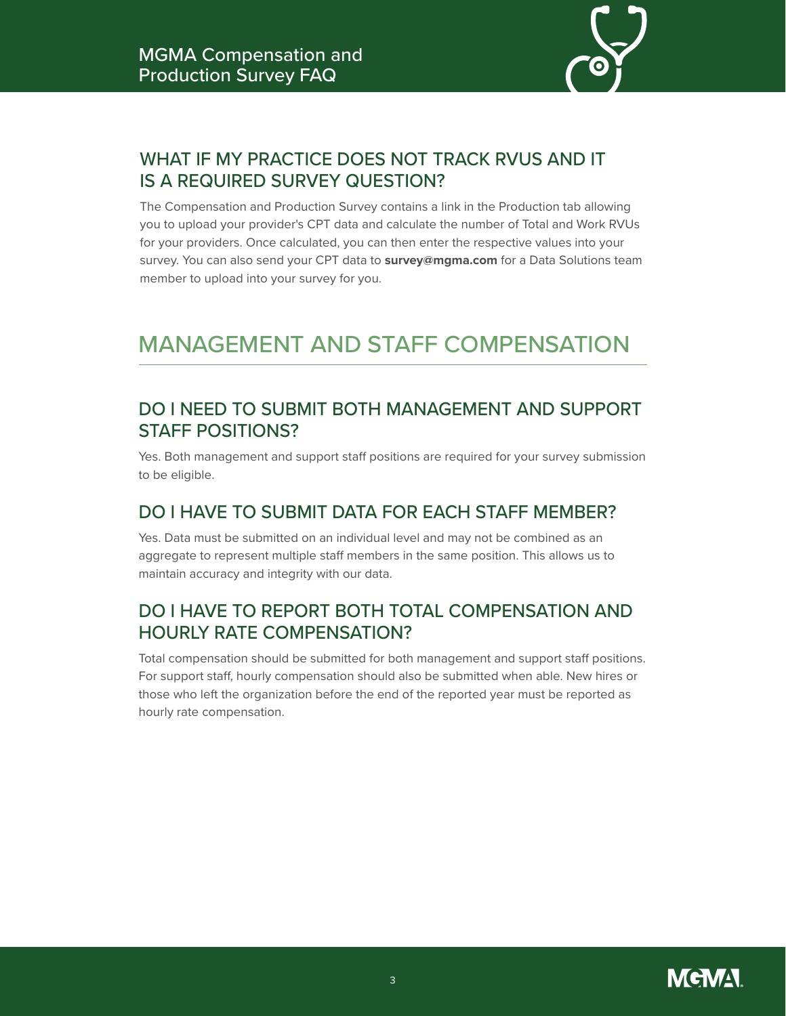

# WHAT IF MY PRACTICE DOES NOT TRACK RVUS AND IT IS A REQUIRED SURVEY QUESTION?

The Compensation and Production Survey contains a link in the Production tab allowing you to upload your provider's CPT data and calculate the number of Total and Work RVUs for your providers. Once calculated, you can then enter the respective values into your survey. You can also send your CPT data to **[survey@mgma.com](mailto:survey%40mgma.com?subject=)** for a Data Solutions team member to upload into your survey for you.

# MANAGEMENT AND STAFF COMPENSATION

#### DO I NEED TO SUBMIT BOTH MANAGEMENT AND SUPPORT STAFF POSITIONS?

Yes. Both management and support staff positions are required for your survey submission to be eligible.

#### DO I HAVE TO SUBMIT DATA FOR EACH STAFF MEMBER?

Yes. Data must be submitted on an individual level and may not be combined as an aggregate to represent multiple staff members in the same position. This allows us to maintain accuracy and integrity with our data.

#### DO I HAVE TO REPORT BOTH TOTAL COMPENSATION AND HOURLY RATE COMPENSATION?

Total compensation should be submitted for both management and support staff positions. For support staff, hourly compensation should also be submitted when able. New hires or those who left the organization before the end of the reported year must be reported as hourly rate compensation.